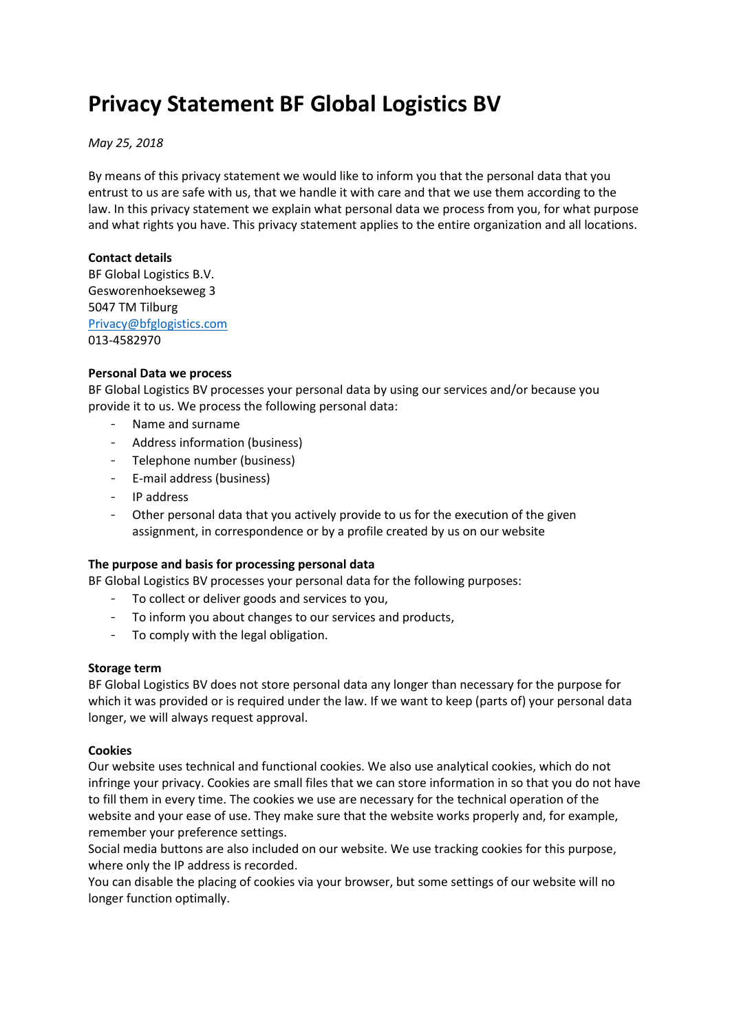# **Privacy Statement BF Global Logistics BV**

## *May 25, 2018*

By means of this privacy statement we would like to inform you that the personal data that you entrust to us are safe with us, that we handle it with care and that we use them according to the law. In this privacy statement we explain what personal data we process from you, for what purpose and what rights you have. This privacy statement applies to the entire organization and all locations.

## **Contact details**

BF Global Logistics B.V. Gesworenhoekseweg 3 5047 TM Tilburg [Privacy@bfglogistics.com](mailto:Privacy@bfglogistics.com) 013-4582970

## **Personal Data we process**

BF Global Logistics BV processes your personal data by using our services and/or because you provide it to us. We process the following personal data:

- Name and surname
- Address information (business)
- Telephone number (business)
- E-mail address (business)
- IP address
- Other personal data that you actively provide to us for the execution of the given assignment, in correspondence or by a profile created by us on our website

### **The purpose and basis for processing personal data**

BF Global Logistics BV processes your personal data for the following purposes:

- To collect or deliver goods and services to you,
- To inform you about changes to our services and products,
- To comply with the legal obligation.

### **Storage term**

BF Global Logistics BV does not store personal data any longer than necessary for the purpose for which it was provided or is required under the law. If we want to keep (parts of) your personal data longer, we will always request approval.

### **Cookies**

Our website uses technical and functional cookies. We also use analytical cookies, which do not infringe your privacy. Cookies are small files that we can store information in so that you do not have to fill them in every time. The cookies we use are necessary for the technical operation of the website and your ease of use. They make sure that the website works properly and, for example, remember your preference settings.

Social media buttons are also included on our website. We use tracking cookies for this purpose, where only the IP address is recorded.

You can disable the placing of cookies via your browser, but some settings of our website will no longer function optimally.